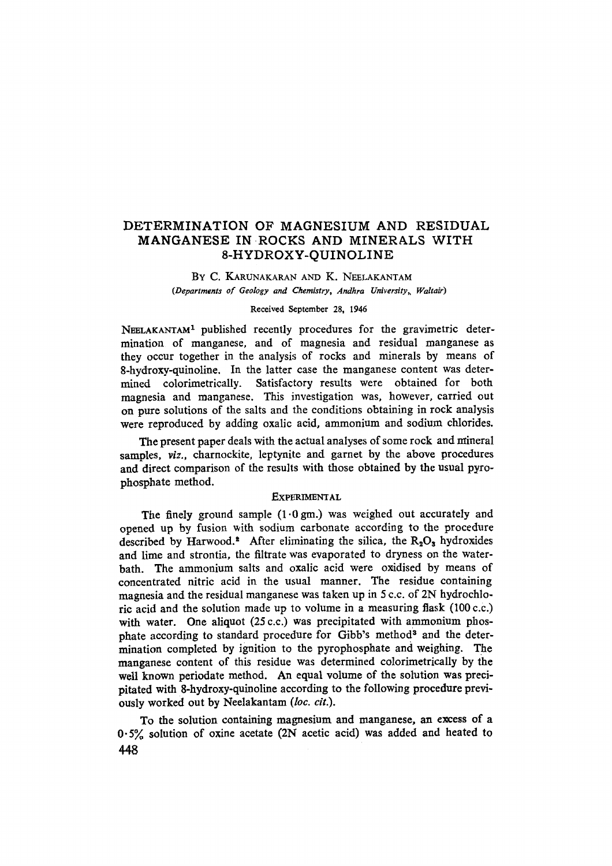# DETERMINATION OF MAGNESIUM AND RESIDUAL MANGANESE IN-ROCKS AND MINERALS WITH 8-HYDROXY-QUINOLINE

BY C. KARUNAKARAN AND K. NEELAKANTAM (Departments of Geology and Chemistry, Andhra University, Waltair)

#### Received September 28, 1946

NEELAKANTAM<sup>1</sup> published recently procedures for the gravimetric determination of manganese, and of magnesia and residual manganese as they occur together in the analysis of rocks and minerals by means of 8-hydroxy-quinoline. In the latter case the manganese content was determined colorimetrically. Satisfactory results were obtained for both magnesia and manganese. This investigation was, however, carried out on pure solutions of the salts and the conditions obtaining in rock ana]ysis were reproduced by adding oxalic acid, ammonium and sodium chlorides.

The present paper deals with the actual analyses of some rock and mineral samples, *viz.,* charnockite, leptynite and garnet by the above procedures and direct comparison of the results with those obtained by the usual pyrophosphate method.

#### **EXPERIMENTAL**

The finely ground sample  $(1.0 \text{ gm})$  was weighed out accurately and opened up by fusion with sodium carbonate according to the procedure described by Harwood.<sup>2</sup> After eliminating the silica, the  $R_2O_3$  hydroxides and lime and strontia, the filtrate was evaporated to dryness on the waterbath. The ammonium salts and oxalic acid were oxidised by means of concentrated nitric acid in the usual manner. The residue containing magnesia and the residual manganese was taken up in 5 c.c. of 2N hydrochloric acid and the solution made up to volume in a measuring flask  $(100 c.c.)$ with water. One aliquot (25 c.c.) was precipitated with ammonium phosphate according to standard procedure for Gibb's method<sup>3</sup> and the determination completed by ignition to the pyrophosphate and weighing. The manganese content of this residue was determined colorimetrically by the well known periodate method. An equal volume of the solution was precipitated with 8-hydroxy-quinoline according to the following procedure previously worked out by Neelakantam *(loc. cit.).* 

To the solution containing magnesium and manganese, ah excess of a  $0.5%$  solution of oxine acetate (2N acetic acid) was added and heated to **148**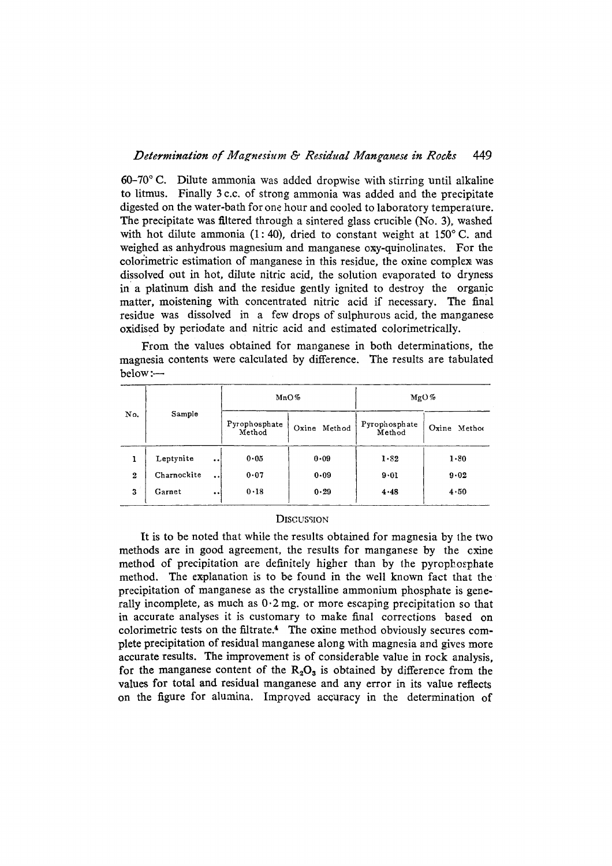### *Determination of Magnesium & Residual Manganese in Rocks* 449

 $60-70$  °C. Dilute ammonia was added dropwise with stirring until alkaline to litmus. Finally 3 c.c. of strong ammonia was added and the precipitate digested on the water-bath for one hour and cooled to laboratory temperature. The precipitate was filtered through a sintered glass crucible (No. 3), washed with hot dilute ammonia (1:40), dried to constant weight at  $150^{\circ}$  C. and weighed as anhydrous magnesium and manganese oxy-quinolinates. For the colorimetric estimation of manganese in this residue, the oxine complex was dissolved out in hot, dilute nitric acid, the solution evaporated to dryness in a platinum dish and the residue gently ignited to destroy the organic matter, moistening with concentrated nitric acid if necessary. The final residue was dissolved in a few drops of sulphurous acid, the manganese oxidised by periodate and nitric acid and estimated colorimetrically.

From the values obtained for manganese in both determinations, the magnesia contents were calculated by difference. The results are tabulated below :-

| No.              | Sample      |                      | MnO%                    |                 | MgO%                         |                          |
|------------------|-------------|----------------------|-------------------------|-----------------|------------------------------|--------------------------|
|                  |             |                      | Pyrophosphate<br>Method | Oxine<br>Method | Pyrophosphate<br>Method      | Oxine Method             |
|                  | Leptynite   | $\ddot{\phantom{a}}$ | 0.05                    | $0 - 09$        | $1 - 82$<br>$9 - 01$<br>4.48 | $1 - 80$<br>9.02<br>4.50 |
| $\boldsymbol{2}$ | Charnockite | $\bullet$            | 0.07                    | $0 - 09$        |                              |                          |
| 3                | Garnet      | $\bullet$            | 0.18                    | 0.29            |                              |                          |

#### **DISCUSSION**

It is to be noted that while the results obtained for magnesia by lhe two methods are in good agreement, the results for manganese by the cxine method of precipitation are definitely higher than by the pyrophosphate method. The explanation is to be found in the well known fact that the precipitation of manganese as the crystalline ammonium phosphate is generally incomplete, as much as  $0.2$  mg. or more escaping precipitation so that in accurate analyses it is customary to make final corrections based on colorimetric tests on the filtrate. 4 The oxine method obviously secures complete precipitation of residual manganese along with magnesia and gives more accurate results. The improvement is of considerable value in rock analysis, for the manganese content of the  $R_2O_3$  is obtained by difference from the values for total and residual manganese and any error in its value reflects on the figure for alumina. Improved accuracy in the determination of